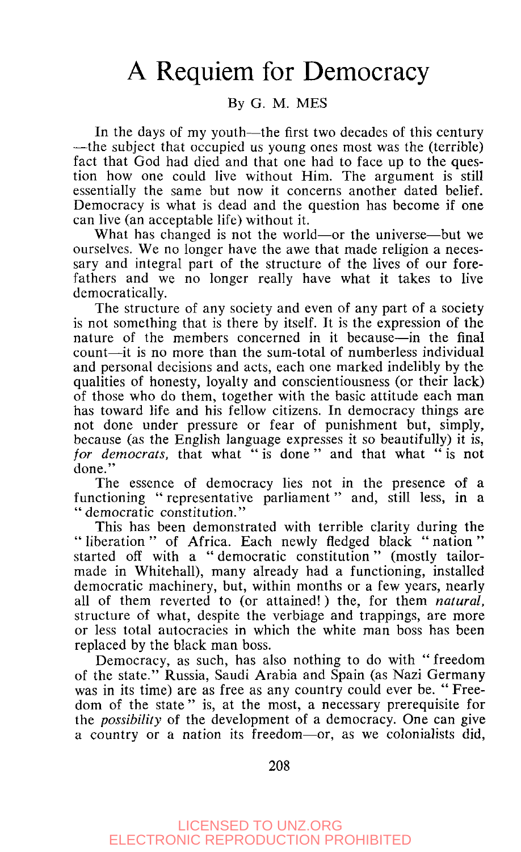## A Requiem for Democracy

## By G. M. MES

In the days of my youth—the first two decades of this century —the subject that occupied us young ones most was the (terrible) fact that God had died and that one had to face up to the question how one could live without Him. The argument is still essentially the same but now it concerns another dated belief. Democracy is what is dead and the question has become if one can live (an acceptable life) without it.

What has changed is not the world—or the universe—but we ourselves. We no longer have the awe that made religion a necessary and integral part of the structure of the lives of our forefathers and we no longer really have what it takes to live democratically.

The structure of any society and even of any part of a society is not something that is there by itself. It is the expression of the nature of the members concerned in it because—in the final count—it is no more than the sum-total of numberless individual and personal decisions and acts, each one marked indelibly by the qualities of honesty, loyalty and conscientiousness (or their lack) of those who do them, together with the basic attitude each man has toward life and his fellow citizens. In democracy things are not done under pressure or fear of punishment but, simply, because (as the English language expresses it so beautifully) it is, *for democrats,* that what " is done " and that what " is not done."

The essence of democracy lies not in the presence of a functioning " representative parliament" and, still less, in a "democratic constitution."

This has been demonstrated with terrible clarity during the " liberation " of Africa. Each newly fledged black "nation" started off with a " democratic constitution" (mostly tailormade in Whitehall), many already had a functioning, installed democratic machinery, but, within months or a few years, nearly all of them reverted to (or attained!) the, for them *natural,*  structure of what, despite the verbiage and trappings, are more or less total autocracies in which the white man boss has been replaced by the black man boss.

Democracy, as such, has also nothing to do with " freedom of the state." Russia, Saudi Arabia and Spain (as Nazi Germany was in its time) are as free as any country could ever be. " Freedom of the state " is, at the most, a necessary prerequisite for the *possibility* of the development of a democracy. One can give a country or a nation its freedom—or, as we colonialists did,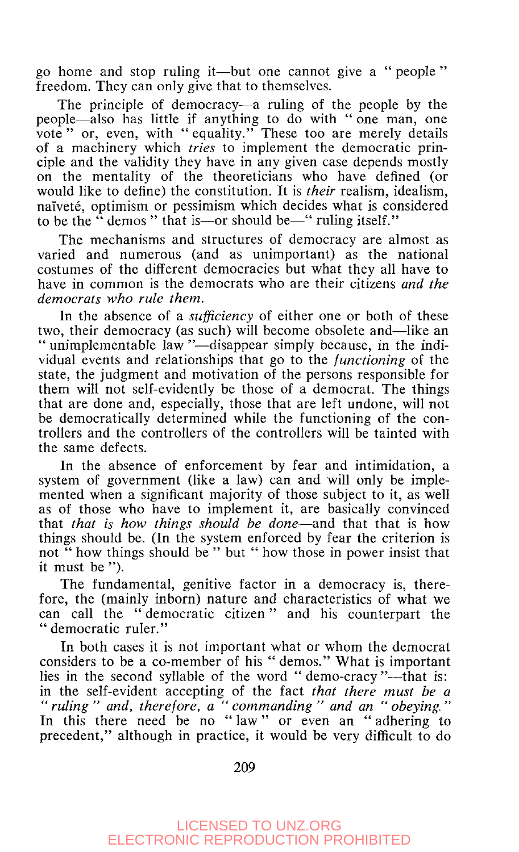go home and stop ruling it—but one cannot give a " people " freedom. They can only give that to themselves.

The principle of democracy—a ruling of the people by the people—also has little if anything to do with " one man, one vote" or, even, with " equality." These too are merely details of a machinery which *tries* to implement the democratic principle and the validity they have in any given case depends mostly on the mentality of the theoreticians who have defined (or would like to define) the constitution. It is *their* realism, idealism, naivete, optimism or pessimism which decides what is considered to be the " demos " that is—or should be—" ruling itself."

The mechanisms and structures of democracy are almost as varied and numerous (and as unimportant) as the national costumes of the different democracies but what they all have to have in common is the democrats who are their citizens *and the democrats who rule them.* 

In the absence of a *sufficiency* of either one or both of these two, their democracy (as such) will become obsolete and—like an " unimplementable law "—disappear simply because, in the individual events and relationships that go to the *functioning* of the state, the judgment and motivation of the persons responsible for them will not self-evidently be those of a democrat. The things that are done and, especially, those that are left undone, will not be democratically determined while the functioning of the controllers and the controllers of the controllers will be tainted with the same defects.

In the absence of enforcement by fear and intimidation, a system of government (like a law) can and will only be implemented when a significant majority of those subject to it, as well as of those who have to implement it, are basically convinced that *that is how things should be done*—and that that is how things should be. (In the system enforced by fear the criterion is not " how things should be " but " how those in power insist that it must be ").

The fundamental, genitive factor in a democracy is, therefore, the (mainly inborn) nature and characteristics of what we can call the " democratic citizen" and his counterpart the "democratic ruler."

In both cases it is not important what or whom the democrat considers to be a co-member of his " demos." What is important lies in the second syllable of the word "demo-cracy"—that is: in the self-evident accepting of the fact *that there must be a " ruling " and, therefore, a " commanding " and an " obeying. "*  In this there need be no "law" or even an "adhering to precedent," although in practice, it would be very difficult to do

209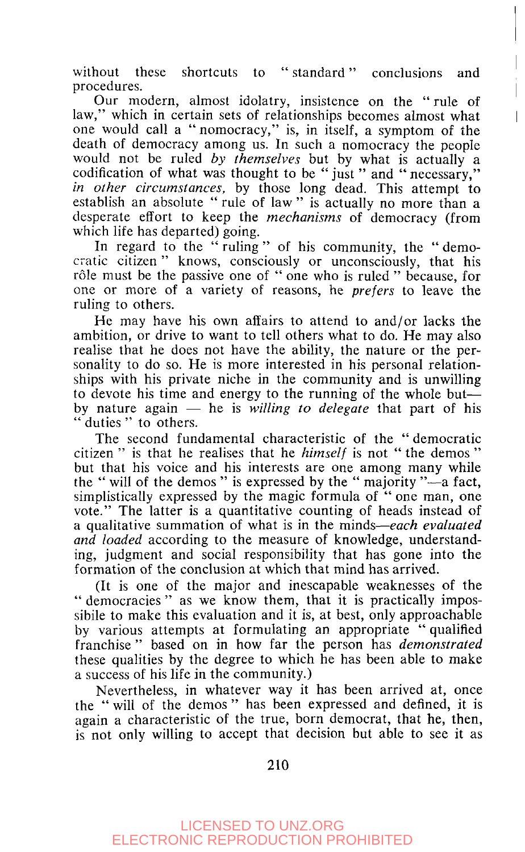without these shortcuts to "standard" conclusions and procedures.

Our modern, almost idolatry, insistence on the " rule of law," which in certain sets of relationships becomes almost what one would call a " nomocracy," is, in itself, a symptom of the death of democracy among us. In such a nomocracy the people would not be ruled *by themselves* but by what is actually a codification of what was thought to be "just" and "necessary," *in other circumstances,* by those long dead. This attempt to establish an absolute " rule of law " is actually no more than a desperate effort to keep the *mechanisms* of democracy (from which life has departed) going.

In regard to the " ruling " of his community, the " democratic citizen" knows, consciously or unconsciously, that his rôle must be the passive one of " one who is ruled " because, for one or more of a variety of reasons, he *prefers* to leave the ruling to others.

He may have his own affairs to attend to and/or lacks the ambition, or drive to want to tell others what to do. He may also realise that he does not have the ability, the nature or the personality to do so. He is more interested in his personal relationships with his private niche in the community and is unwilling to devote his time and energy to the running of the whole but by nature again — he is *willing to delegate* that part of his " duties " to others.

The second fundamental characteristic of the " democratic citizen " is that he realises that he *himself* is not " the demos " but that his voice and his interests are one among many while the " will of the demos " is expressed by the " majority "—a fact, simplistically expressed by the magic formula of " one man, one vote." The latter is a quantitative counting of heads instead of a qualitative summation of what is in the minds—*each evaluated and loaded* according to the measure of knowledge, understanding, judgment and social responsibility that has gone into the formation of the conclusion at which that mind has arrived.

(It is one of the major and inescapable weaknesses of the " democracies " as we know them, that it is practically impossibile to make this evaluation and it is, at best, only approachable by various attempts at formulating an appropriate " qualified franchise " based on in how far the person has *demonstrated*  these qualities by the degree to which he has been able to make a success of his life in the community.)

Nevertheless, in whatever way it has been arrived at, once the " will of the demos " has been expressed and defined, it is again a characteristic of the true, born democrat, that he, then, is not only willing to accept that decision but able to see it as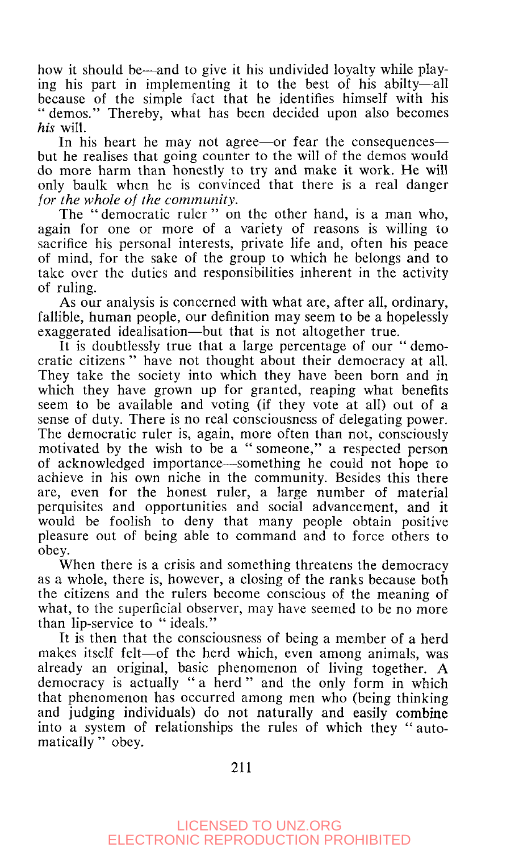how it should be—and to give it his undivided loyalty while playing his part in implementing it to the best of his abilty—all because of the simple fact that he identifies himself with his " demos." Thereby, what has been decided upon also becomes *his* will.

In his heart he may not agree—or fear the consequences but he realises that going counter to the will of the demos would do more harm than honestly to try and make it work. He will only baulk when he is convinced that there is a real danger *for the whole of the community.* 

The " democratic ruler " on the other hand, is a man who, again for one or more of a variety of reasons is willing to sacrifice his personal interests, private life and, often his peace of mind, for the sake of the group to which he belongs and to take over the duties and responsibilities inherent in the activity of ruling.

As our analysis is concerned with what are, after all, ordinary, fallible, human people, our definition may seem to be a hopelessly exaggerated idealisation—but that is not altogether true.

It is doubtlessly true that a large percentage of our " democratic citizens " have not thought about their democracy at all. They take the society into which they have been born and in which they have grown up for granted, reaping what benefits seem to be available and voting (if they vote at all) out of a sense of duty. There is no real consciousness of delegating power. The democratic ruler is, again, more often than not, consciously motivated by the wish to be a " someone," a respected person of acknowledged importance—something he could not hope to achieve in his own niche in the community. Besides this there are, even for the honest ruler, a large number of material perquisites and opportunities and social advancement, and it would be foolish to deny that many people obtain positive pleasure out of being able to command and to force others to obey.

When there is a crisis and something threatens the democracy as a whole, there is, however, a closing of the ranks because both the citizens and the rulers become conscious of the meaning of what, to the superficial observer, may have seemed to be no more than lip-service to " ideals."

It is then that the consciousness of being a member of a herd makes itself felt—of the herd which, even among animals, was already an original, basic phenomenon of living together. A democracy is actually " a herd " and the only form in which that phenomenon has occurred among men who (being thinking and judging individuals) do not naturally and easily combine into a system of relationships the rules of which they " automatically " obey.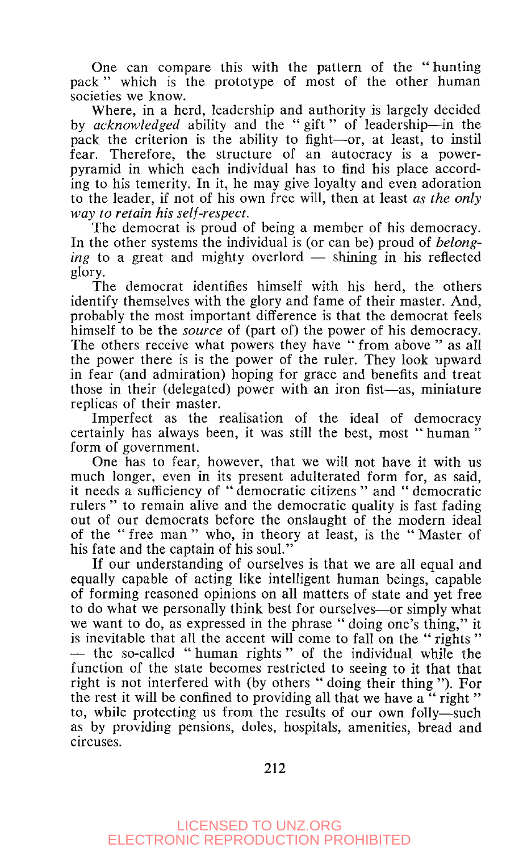One can compare this with the pattern of the " hunting pack" which is the prototype of most of the other human societies we know.

Where, in a herd, leadership and authority is largely decided by *acknowledged* ability and the " gift" of leadership—in the pack the criterion is the ability to fight—or, at least, to instil fear. Therefore, the structure of an autocracy is a powerpyramid in which each individual has to find his place according to his temerity. In it, he may give loyalty and even adoration to the leader, if not of his own free will, then at least *as the only way to retain his self-respect.* 

The democrat is proud of being a member of his democracy. In the other systems the individual is (or can be) proud of *belonging* to a great and mighty overlord — shining in his reflected glory.

The democrat identifies himself with his herd, the others identify themselves with the glory and fame of their master. And, probably the most important difference is that the democrat feels himself to be the *source* of (part of) the power of his democracy. The others receive what powers they have "from above" as all the power there is is the power of the ruler. They look upward in fear (and admiration) hoping for grace and benefits and treat those in their (delegated) power with an iron fist—as, miniature replicas of their master.

Imperfect as the realisation of the ideal of democracy certainly has always been, it was still the best, most " human " form of government.

One has to fear, however, that we will not have it with us much longer, even in its present adulterated form for, as said, it needs a sufficiency of " democratic citizens " and " democratic rulers " to remain alive and the democratic quality is fast fading out of our democrats before the onslaught of the modern ideal of the " free man " who, in theory at least, is the " Master of his fate and the captain of his soul."

If our understanding of ourselves is that we are all equal and equally capable of acting like intelligent human beings, capable of forming reasoned opinions on all matters of state and yet free to do what we personally think best for ourselves—or simply what we want to do, as expressed in the phrase " doing one's thing," it is inevitable that all the accent will come to fall on the " rights " — the so-called " human rights " of the individual while the function of the state becomes restricted to seeing to it that that right is not interfered with (by others " doing their thing "). For the rest it will be confined to providing all that we have a "right" to, while protecting us from the results of our own folly—such as by providing pensions, doles, hospitals, amenities, bread and circuses.

212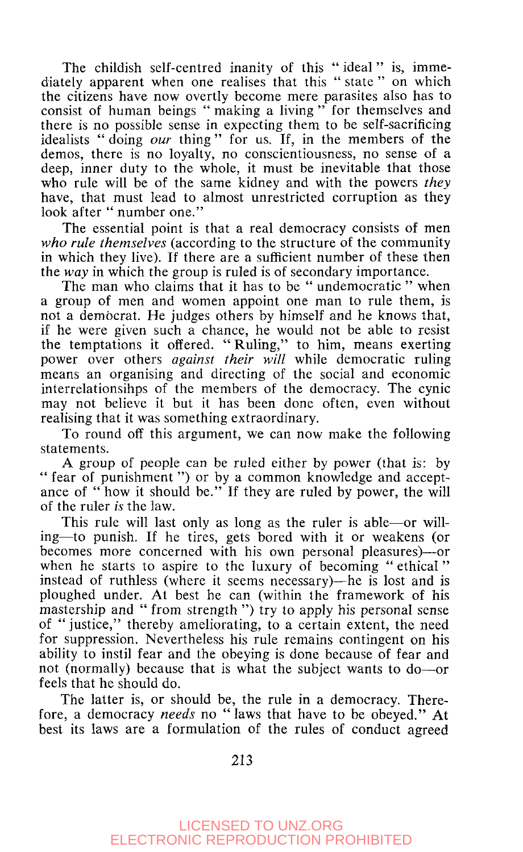The childish self-centred inanity of this "ideal" is, immediately apparent when one realises that this " state " on which the citizens have now overtly become mere parasites also has to consist of human beings " making a living" for themselves and there is no possible sense in expecting them to be self-sacrificing idealists " doing *our* thing" for us. If, in the members of the demos, there is no loyalty, no conscientiousness, no sense of a deep, inner duty to the whole, it must be inevitable that those who rule will be of the same kidney and with the powers *they*  have, that must lead to almost unrestricted corruption as they look after " number one."

The essential point is that a real democracy consists of men *who rule themselves* (according to the structure of the community in which they live). If there are a sufficient number of these then the *way* in which the group is ruled is of secondary importance.

The man who claims that it has to be "undemocratic" when a group of men and women appoint one man to rule them, is not a democrat. He judges others by himself and he knows that, if he were given such a chance, he would not be able to resist the temptations it offered. " Ruling," to him, means exerting power over others *against their will* while democratic ruling means an organising and directing of the social and economic interrelationsihps of the members of the democracy. The cynic may not believe it but it has been done often, even without realising that it was something extraordinary.

To round off this argument, we can now make the following statements.

A group of people can be ruled either by power (that is: by " fear of punishment ") or by a common knowledge and acceptance of " how it should be." If they are ruled by power, the will of the ruler *is* the law.

This rule will last only as long as the ruler is able—or willing—to punish. If he tires, gets bored with it or weakens (or becomes more concerned with his own personal pleasures)—or when he starts to aspire to the luxury of becoming " ethical" instead of ruthless (where it seems necessary)—he is lost and is ploughed under. At best he can (within the framework of his mastership and " from strength ") try to apply his personal sense of " justice," thereby ameliorating, to a certain extent, the need for suppression. Nevertheless his rule remains contingent on his ability to instil fear and the obeying is done because of fear and not (normally) because that is what the subject wants to do—or feels that he should do.

The latter is, or should be, the rule in a democracy. Therefore, a democracy *needs* no "laws that have to be obeyed." At best its laws are a formulation of the rules of conduct agreed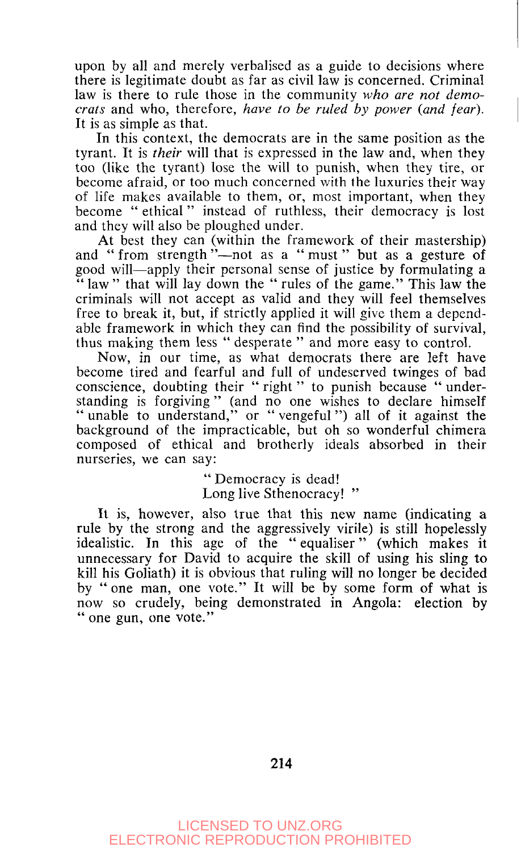upon by all and merely verbalised as a guide to decisions where there is legitimate doubt as far as civil law is concerned. Criminal law is there to rule those in the community *who are not democrats* and who, therefore, *have to be ruled by power {and fear).*  It is as simple as that.

In this context, the democrats are in the same position as the tyrant. It is *their* will that is expressed in the law and, when they too (like the tyrant) lose the will to punish, when they tire, or become afraid, or too much concerned with the luxuries their way of life makes available to them, or, most important, when they become " ethical" instead of ruthless, their democracy is lost and they will also be ploughed under.

At best they can (within the framework of their mastership) and " from strength "--not as a " must " but as a gesture of good will—apply their personal sense of justice by formulating a " law" that will lay down the " rules of the game." This law the criminals will not accept as valid and they will feel themselves free to break it, but, if strictly applied it will give them a dependable framework in which they can find the possibility of survival, thus making them less " desperate " and more easy to control.

Now, in our time, as what democrats there are left have become tired and fearful and full of undeserved twinges of bad conscience, doubting their " right " to punish because " understanding is forgiving" (and no one wishes to declare himself " unable to understand," or " vengeful ") all of it against the background of the impracticable, but oh so wonderful chimera composed of ethical and brotherly ideals absorbed in their nurseries, we can say:

> " Democracy is dead! Long live Sthenocracy!"

It is, however, also true that this new name (indicating a rule by the strong and the aggressively virile) is still hopelessly idealistic. In this age of the " equaliser" (which makes it unnecessary for David to acquire the skill of using his sling to kill his Goliath) it is obvious that ruling will no longer be decided by " one man, one vote." It will be by some form of what is now so crudely, being demonstrated in Angola: election by " one gun, one vote."